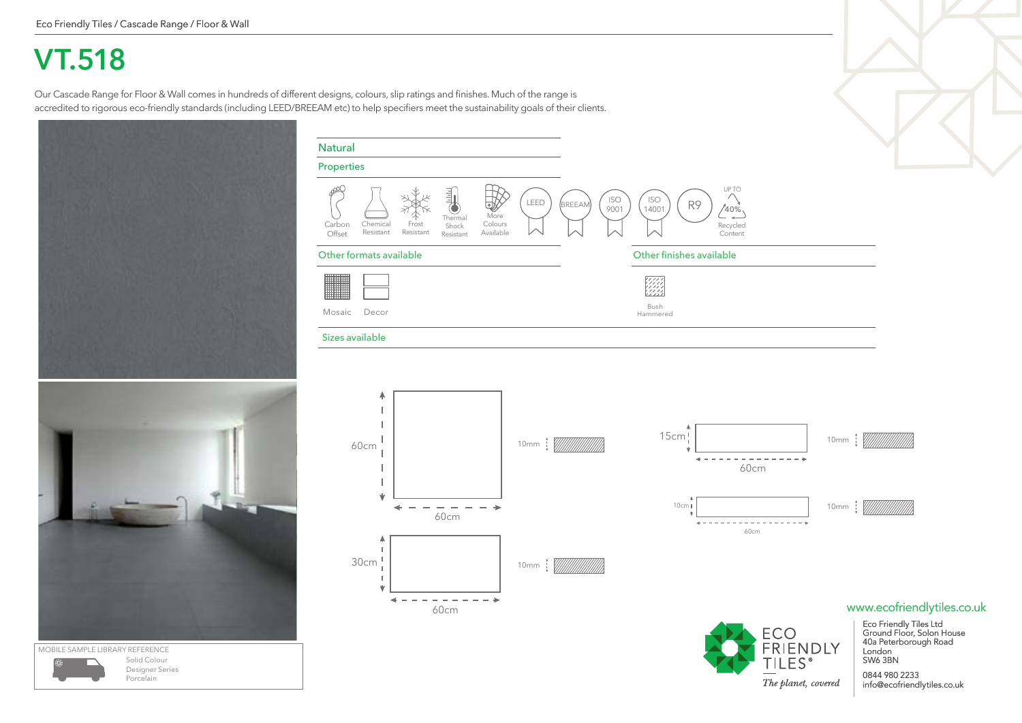## **VT.518**

Our Cascade Range for Floor & Wall comes in hundreds of different designs, colours, slip ratings and finishes. Much of the range is accredited to rigorous eco-friendly standards (including LEED/BREEAM etc) to help specifiers meet the sustainability goals of their clients.





Porcelain

Other formats available Other finishes available Mosaic Bush Decor Hammered Sizes available A 10mm | WWWWWW 60cm ے 60cm

Chemical Resistant

Carbon Offset

Properties

Natural

Frost Resistant

Thermal Shock Resistant

C

Colours Available LEED

BREEAM



R9

Recycled **Content** 

UP TO

ISO 14001

ISO 9001

More  $\bigvee$  9001 (14001) (1/2002)

15cm 10mm : [///////////////////////  $- - - - - - - - -$ 60cm 10cm 10mm 60cm

## www.ecofriendlytiles.co.uk



Eco Friendly Tiles Ltd Ground Floor, Solon House 40a Peterborough Road

0844 980 2233 info@ecofriendlytiles.co.uk

London SW6 3BN